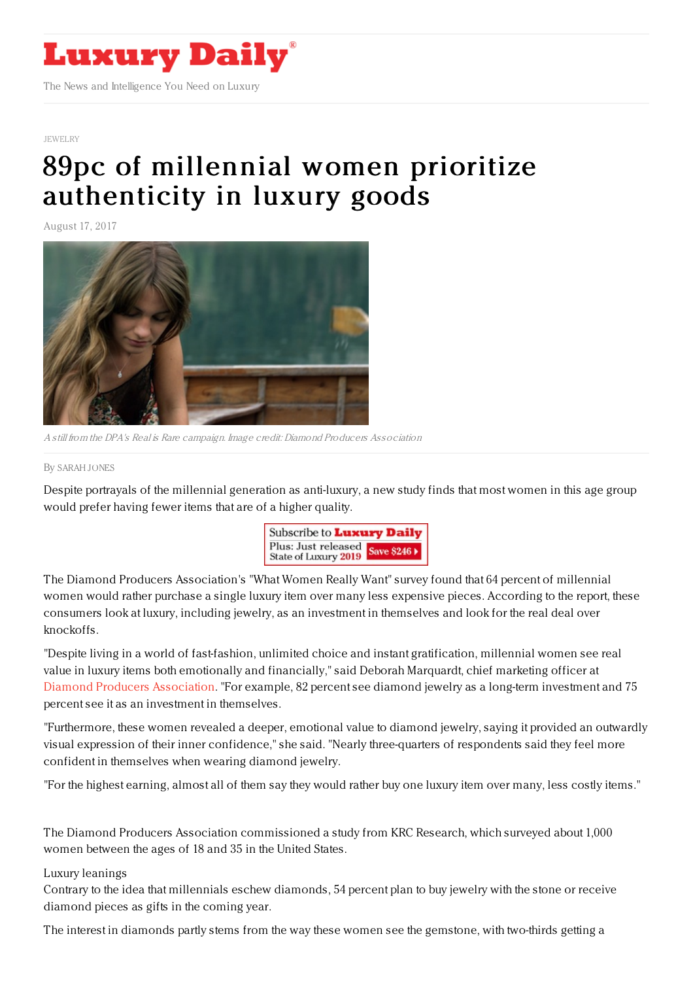

#### [JEWELRY](https://www.luxurydaily.com/category/sectors/jewelry/)

# 89pc of millennial women prioritize [authenticity](https://www.luxurydaily.com/89pc-of-millennial-women-prioritize-authenticity-in-luxury-goods/) in luxury goods

August 17, 2017



A still from the DPA's Real is Rare campaign. Image credit: Diamond Producers Association

#### By [SARAH](file:///author/sarah-jones) JONES

Despite portrayals of the millennial generation as anti-luxury, a new study finds that most women in this age group would prefer having fewer items that are of a higher quality.



The Diamond Producers Association's "What Women Really Want" survey found that 64 percent of millennial women would rather purchase a single luxury item over many less expensive pieces. According to the report, these consumers look at luxury, including jewelry, as an investment in themselves and look for the real deal over knockoffs.

"Despite living in a world of fast-fashion, unlimited choice and instant gratification, millennial women see real value in luxury items both emotionally and financially," said Deborah Marquardt, chief marketing officer at Diamond Producers [Association](http://www.diamondproducers.com/). "For example, 82 percent see diamond jewelry as a long-term investment and 75 percent see it as an investment in themselves.

"Furthermore, these women revealed a deeper, emotional value to diamond jewelry, saying it provided an outwardly visual expression of their inner confidence," she said. "Nearly three-quarters of respondents said they feel more confident in themselves when wearing diamond jewelry.

"For the highest earning, almost all of them say they would rather buy one luxury item over many, less costly items."

The Diamond Producers Association commissioned a study from KRC Research, which surveyed about 1,000 women between the ages of 18 and 35 in the United States.

### Luxury leanings

Contrary to the idea that millennials eschew diamonds, 54 percent plan to buy jewelry with the stone or receive diamond pieces as gifts in the coming year.

The interest in diamonds partly stems from the way these women see the gemstone, with two-thirds getting a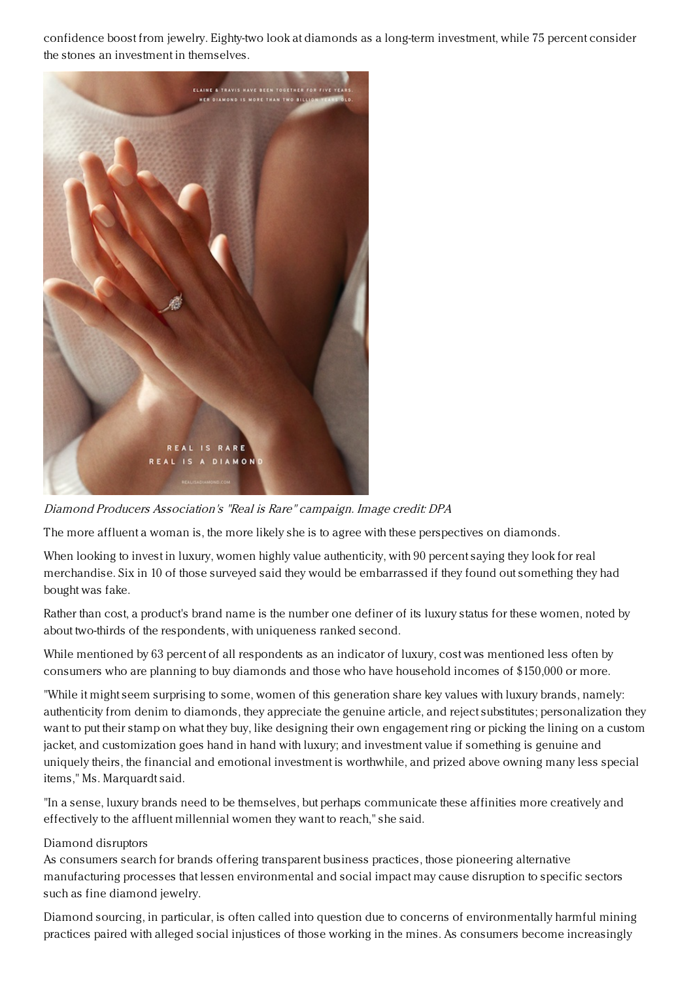confidence boost from jewelry. Eighty-two look at diamonds as a long-term investment, while 75 percent consider the stones an investment in themselves.



Diamond Producers Association's "Real is Rare" campaign. Image credit: DPA

The more affluent a woman is, the more likely she is to agree with these perspectives on diamonds.

When looking to invest in luxury, women highly value authenticity, with 90 percent saying they look for real merchandise. Six in 10 of those surveyed said they would be embarrassed if they found out something they had bought was fake.

Rather than cost, a product's brand name is the number one definer of its luxury status for these women, noted by about two-thirds of the respondents, with uniqueness ranked second.

While mentioned by 63 percent of all respondents as an indicator of luxury, cost was mentioned less often by consumers who are planning to buy diamonds and those who have household incomes of \$150,000 or more.

"While it might seem surprising to some, women of this generation share key values with luxury brands, namely: authenticity from denim to diamonds, they appreciate the genuine article, and reject substitutes; personalization they want to put their stamp on what they buy, like designing their own engagement ring or picking the lining on a custom jacket, and customization goes hand in hand with luxury; and investment value if something is genuine and uniquely theirs, the financial and emotional investment is worthwhile, and prized above owning many less special items," Ms. Marquardt said.

"In a sense, luxury brands need to be themselves, but perhaps communicate these affinities more creatively and effectively to the affluent millennial women they want to reach," she said.

## Diamond disruptors

As consumers search for brands offering transparent business practices, those pioneering alternative manufacturing processes that lessen environmental and social impact may cause disruption to specific sectors such as fine diamond jewelry.

Diamond sourcing, in particular, is often called into question due to concerns of environmentally harmful mining practices paired with alleged social injustices of those working in the mines. As consumers become increasingly